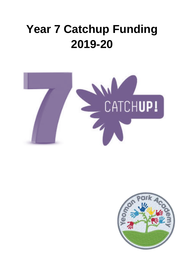## **Year 7 Catchup Funding 2019-20**



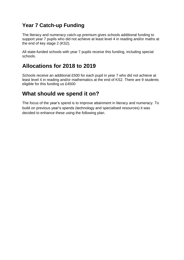## **Year 7 Catch-up Funding**

The literacy and numeracy catch-up premium gives schools additional funding to support year 7 pupils who did not achieve at least level 4 in reading and/or maths at the end of key stage 2 (KS2).

All state-funded schools with year 7 pupils receive this funding, including special schools.

## **Allocations for 2018 to 2019**

Schools receive an additional £500 for each pupil in year 7 who did not achieve at least level 4 in reading and/or mathematics at the end of KS2. There are 9 students eligible for this funding us £4500

## **What should we spend it on?**

The focus of the year's spend is to improve attainment in literacy and numeracy. To build on previous year's spends (technology and specialised resources) it was decided to enhance these using the following plan.